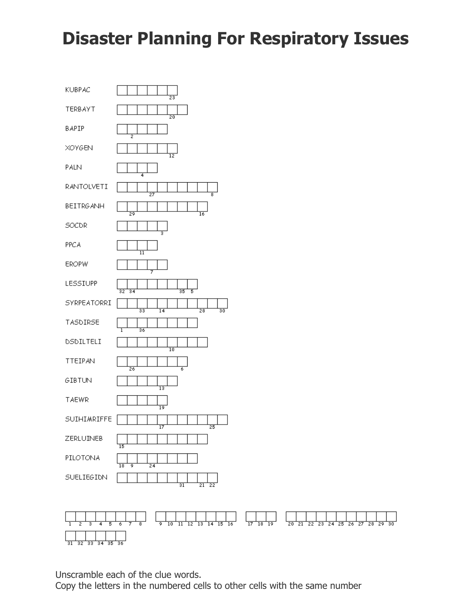## **Disaster Planning For Respiratory Issues**



 $\frac{1}{17}$  $\frac{1}{13}$  14 15 16  $\frac{1}{18}$   $\frac{1}{19}$  $\overline{11}$  $\overline{20}$  $\overline{29}$ 70 12  $\overline{21}$  $\overline{22}$  $\frac{1}{23}$  $24 \overline{25}$  $\frac{1}{26}$  $\overline{27}$  $\overline{28}$  $\overline{35}$  $\frac{1}{36}$ হহ হর

Unscramble each of the clue words.

Copy the letters in the numbered cells to other cells with the same number